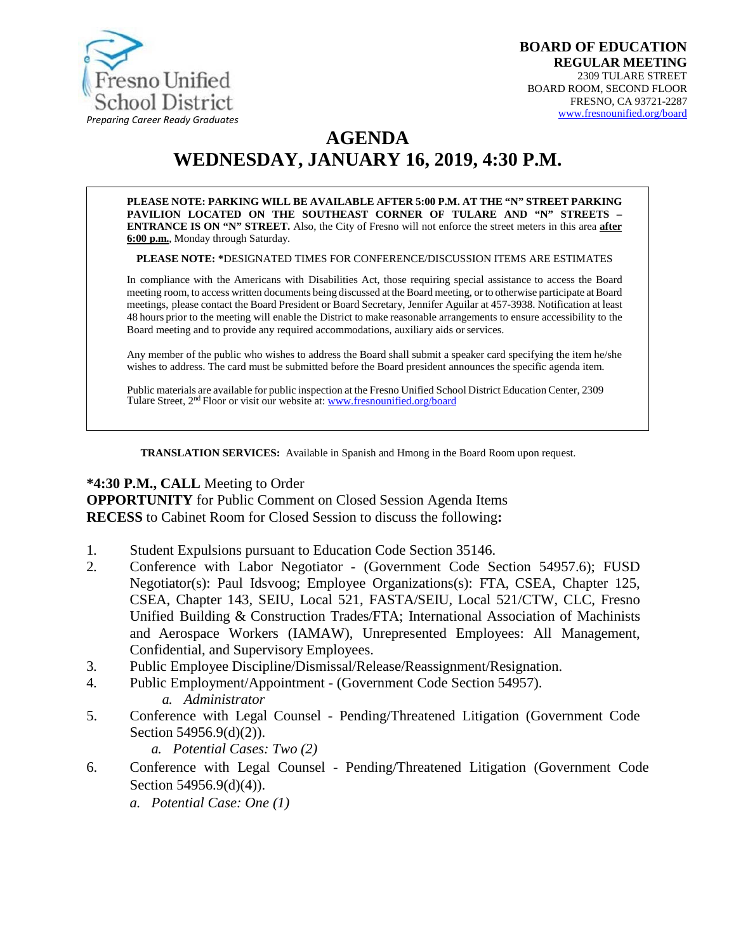

# **AGENDA WEDNESDAY, JANUARY 16, 2019, 4:30 P.M.**

**PLEASE NOTE: PARKING WILL BE AVAILABLE AFTER 5:00 P.M. AT THE "N" STREET PARKING PAVILION LOCATED ON THE SOUTHEAST CORNER OF TULARE AND "N" STREETS – ENTRANCE IS ON "N" STREET.** Also, the City of Fresno will not enforce the street meters in this area **after 6:00 p.m.**, Monday through Saturday.

**PLEASE NOTE: \***DESIGNATED TIMES FOR CONFERENCE/DISCUSSION ITEMS ARE ESTIMATES

In compliance with the Americans with Disabilities Act, those requiring special assistance to access the Board meeting room, to access written documents being discussed at the Board meeting, or to otherwise participate at Board meetings, please contact the Board President or Board Secretary, Jennifer Aguilar at 457-3938. Notification at least 48 hours prior to the meeting will enable the District to make reasonable arrangements to ensure accessibility to the Board meeting and to provide any required accommodations, auxiliary aids orservices.

Any member of the public who wishes to address the Board shall submit a speaker card specifying the item he/she wishes to address. The card must be submitted before the Board president announces the specific agenda item.

Public materials are available for public inspection at the Fresno Unified School District Education Center, 2309 Tulare Street, 2<sup>nd</sup> Floor or visit our website at: **[www.fresnounified.org/board](http://www.fresnounified.org/board)** 

**TRANSLATION SERVICES:** Available in Spanish and Hmong in the Board Room upon request.

#### **\*4:30 P.M., CALL** Meeting to Order

**OPPORTUNITY** for Public Comment on Closed Session Agenda Items **RECESS** to Cabinet Room for Closed Session to discuss the following**:**

- 1. Student Expulsions pursuant to Education Code Section 35146.
- 2. Conference with Labor Negotiator (Government Code Section 54957.6); FUSD Negotiator(s): Paul Idsvoog; Employee Organizations(s): FTA, CSEA, Chapter 125, CSEA, Chapter 143, SEIU, Local 521, FASTA/SEIU, Local 521/CTW, CLC, Fresno Unified Building & Construction Trades/FTA; International Association of Machinists and Aerospace Workers (IAMAW), Unrepresented Employees: All Management, Confidential, and Supervisory Employees.
- 3. Public Employee Discipline/Dismissal/Release/Reassignment/Resignation.
- 4. Public Employment/Appointment (Government Code Section 54957). *a. Administrator*
- 5. Conference with Legal Counsel Pending/Threatened Litigation (Government Code Section 54956.9(d)(2)).

*a. Potential Cases: Two (2)*

- 6. Conference with Legal Counsel Pending/Threatened Litigation (Government Code Section 54956.9(d)(4)).
	- *a. Potential Case: One (1)*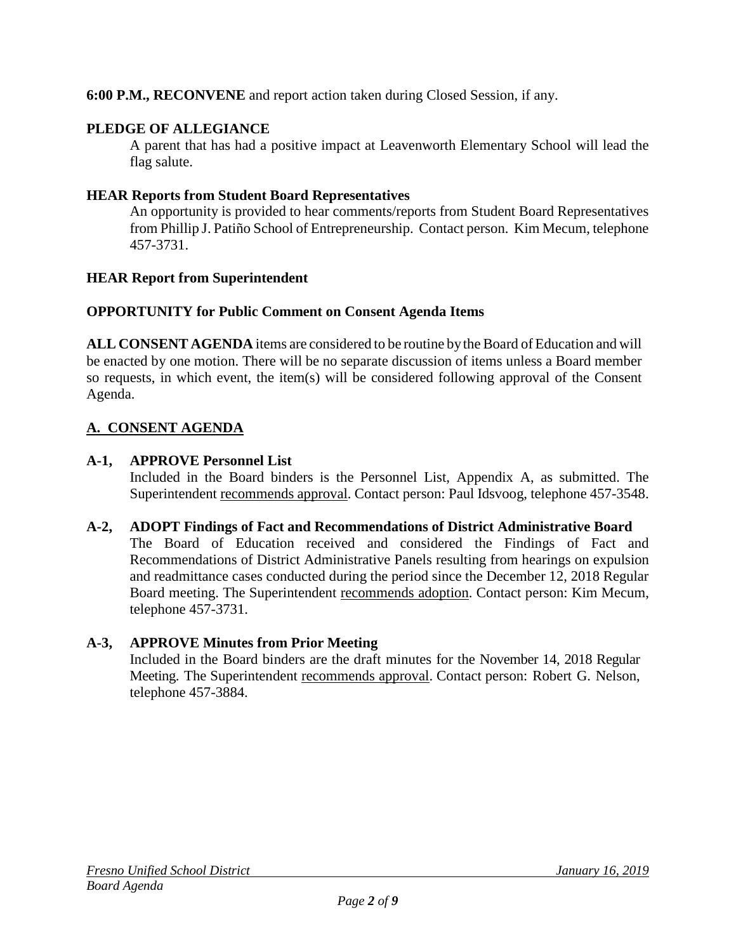**6:00 P.M., RECONVENE** and report action taken during Closed Session, if any.

## **PLEDGE OF ALLEGIANCE**

A parent that has had a positive impact at Leavenworth Elementary School will lead the flag salute.

## **HEAR Reports from Student Board Representatives**

An opportunity is provided to hear comments/reports from Student Board Representatives from Phillip J. Patiño School of Entrepreneurship. Contact person. Kim Mecum, telephone 457-3731.

## **HEAR Report from Superintendent**

## **OPPORTUNITY for Public Comment on Consent Agenda Items**

**ALL CONSENT AGENDA** items are considered to be routine bythe Board of Education and will be enacted by one motion. There will be no separate discussion of items unless a Board member so requests, in which event, the item(s) will be considered following approval of the Consent Agenda.

# **A. CONSENT AGENDA**

## **A-1, APPROVE Personnel List**

Included in the Board binders is the Personnel List, Appendix A, as submitted. The Superintendent recommends approval. Contact person: Paul Idsvoog, telephone 457-3548.

**A-2, ADOPT Findings of Fact and Recommendations of District Administrative Board** The Board of Education received and considered the Findings of Fact and Recommendations of District Administrative Panels resulting from hearings on expulsion and readmittance cases conducted during the period since the December 12, 2018 Regular Board meeting. The Superintendent recommends adoption. Contact person: Kim Mecum, telephone 457-3731.

## **A-3, APPROVE Minutes from Prior Meeting**

Included in the Board binders are the draft minutes for the November 14, 2018 Regular Meeting. The Superintendent recommends approval. Contact person: Robert G. Nelson, telephone 457-3884.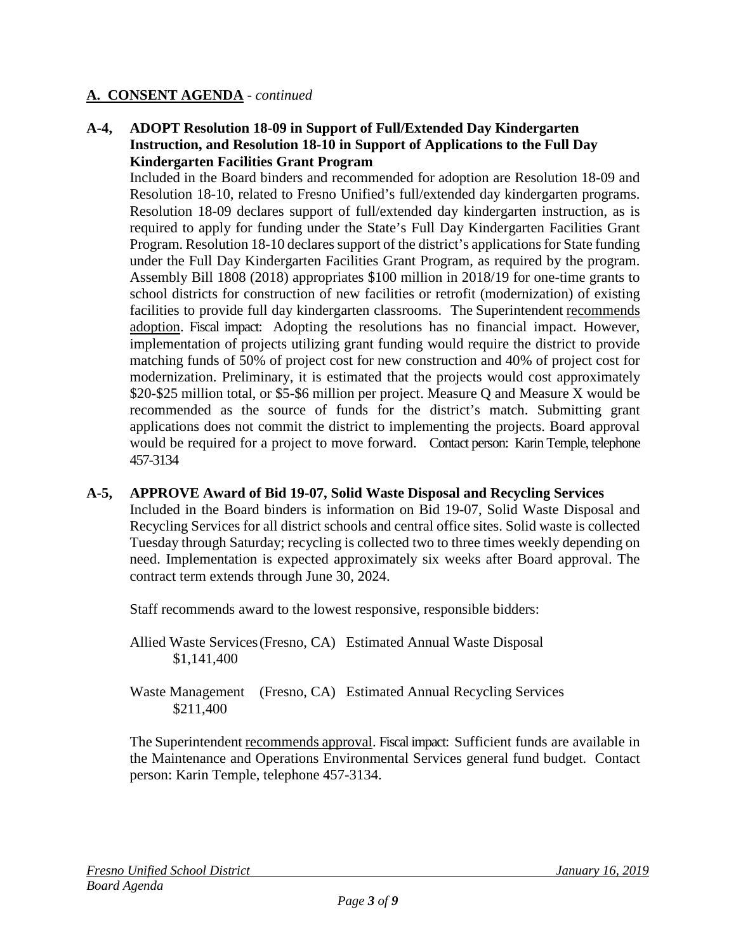#### **A-4, ADOPT Resolution 18-09 in Support of Full/Extended Day Kindergarten Instruction, and Resolution 18-10 in Support of Applications to the Full Day Kindergarten Facilities Grant Program**

Included in the Board binders and recommended for adoption are Resolution 18-09 and Resolution 18-10, related to Fresno Unified's full/extended day kindergarten programs. Resolution 18-09 declares support of full/extended day kindergarten instruction, as is required to apply for funding under the State's Full Day Kindergarten Facilities Grant Program. Resolution 18-10 declares support of the district's applications for State funding under the Full Day Kindergarten Facilities Grant Program, as required by the program. Assembly Bill 1808 (2018) appropriates \$100 million in 2018/19 for one-time grants to school districts for construction of new facilities or retrofit (modernization) of existing facilities to provide full day kindergarten classrooms. The Superintendent recommends adoption. Fiscal impact: Adopting the resolutions has no financial impact. However, implementation of projects utilizing grant funding would require the district to provide matching funds of 50% of project cost for new construction and 40% of project cost for modernization. Preliminary, it is estimated that the projects would cost approximately \$20-\$25 million total, or \$5-\$6 million per project. Measure Q and Measure X would be recommended as the source of funds for the district's match. Submitting grant applications does not commit the district to implementing the projects. Board approval would be required for a project to move forward. Contact person: Karin Temple, telephone 457-3134

#### **A-5, APPROVE Award of Bid 19-07, Solid Waste Disposal and Recycling Services**

Included in the Board binders is information on Bid 19-07, Solid Waste Disposal and Recycling Services for all district schools and central office sites. Solid waste is collected Tuesday through Saturday; recycling is collected two to three times weekly depending on need. Implementation is expected approximately six weeks after Board approval. The contract term extends through June 30, 2024.

Staff recommends award to the lowest responsive, responsible bidders:

Allied Waste Services(Fresno, CA) Estimated Annual Waste Disposal \$1,141,400

Waste Management (Fresno, CA) Estimated Annual Recycling Services \$211,400

The Superintendent recommends approval. Fiscal impact: Sufficient funds are available in the Maintenance and Operations Environmental Services general fund budget. Contact person: Karin Temple, telephone 457-3134.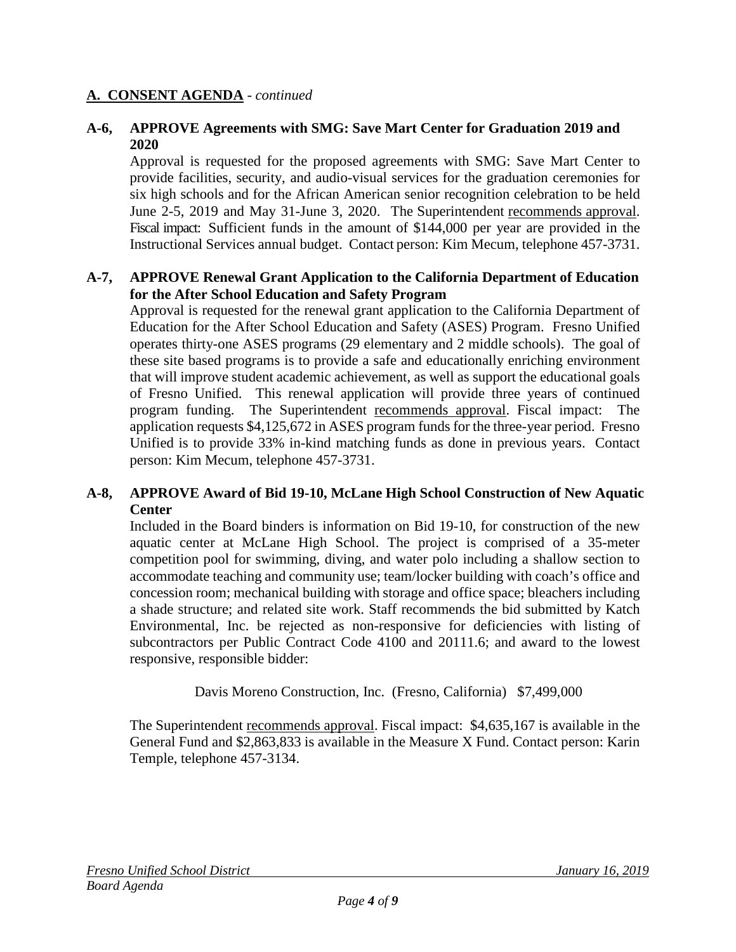#### **A-6, APPROVE Agreements with SMG: Save Mart Center for Graduation 2019 and 2020**

Approval is requested for the proposed agreements with SMG: Save Mart Center to provide facilities, security, and audio-visual services for the graduation ceremonies for six high schools and for the African American senior recognition celebration to be held June 2-5, 2019 and May 31-June 3, 2020. The Superintendent recommends approval. Fiscal impact: Sufficient funds in the amount of \$144,000 per year are provided in the Instructional Services annual budget. Contact person: Kim Mecum, telephone 457-3731.

### **A-7, APPROVE Renewal Grant Application to the California Department of Education for the After School Education and Safety Program**

Approval is requested for the renewal grant application to the California Department of Education for the After School Education and Safety (ASES) Program. Fresno Unified operates thirty-one ASES programs (29 elementary and 2 middle schools). The goal of these site based programs is to provide a safe and educationally enriching environment that will improve student academic achievement, as well as support the educational goals of Fresno Unified. This renewal application will provide three years of continued program funding. The Superintendent recommends approval. Fiscal impact: The application requests \$4,125,672 in ASES program funds for the three-year period. Fresno Unified is to provide 33% in-kind matching funds as done in previous years. Contact person: Kim Mecum, telephone 457-3731.

#### **A-8, APPROVE Award of Bid 19-10, McLane High School Construction of New Aquatic Center**

Included in the Board binders is information on Bid 19-10, for construction of the new aquatic center at McLane High School. The project is comprised of a 35-meter competition pool for swimming, diving, and water polo including a shallow section to accommodate teaching and community use; team/locker building with coach's office and concession room; mechanical building with storage and office space; bleachers including a shade structure; and related site work. Staff recommends the bid submitted by Katch Environmental, Inc. be rejected as non-responsive for deficiencies with listing of subcontractors per Public Contract Code 4100 and 20111.6; and award to the lowest responsive, responsible bidder:

Davis Moreno Construction, Inc. (Fresno, California) \$7,499,000

The Superintendent recommends approval. Fiscal impact: \$4,635,167 is available in the General Fund and \$2,863,833 is available in the Measure X Fund. Contact person: Karin Temple, telephone 457-3134.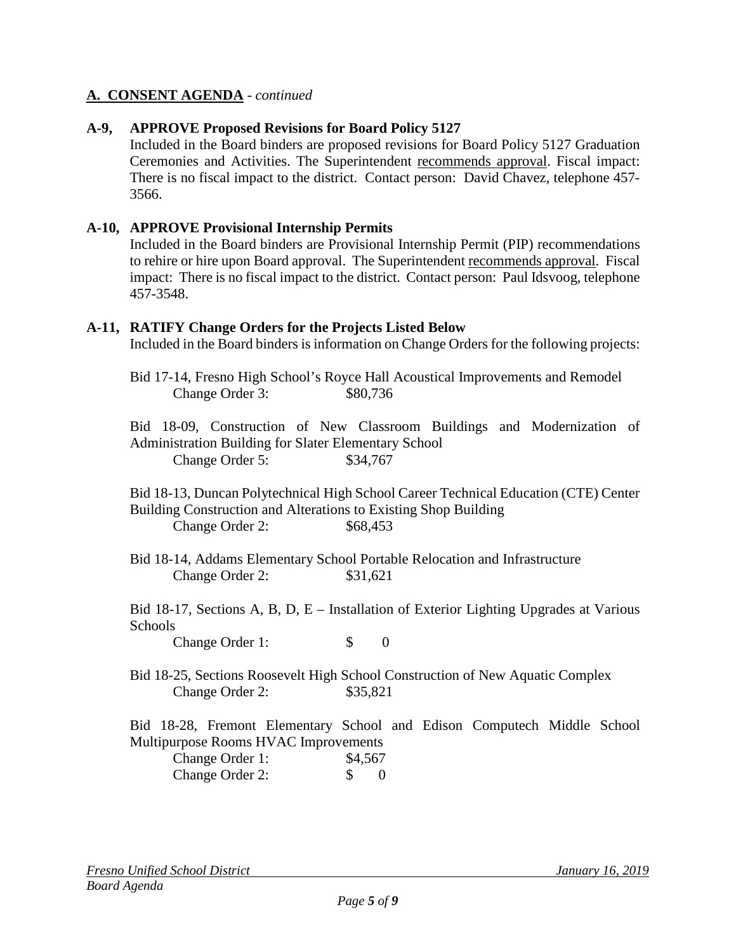### **A-9, APPROVE Proposed Revisions for Board Policy 5127**

Included in the Board binders are proposed revisions for Board Policy 5127 Graduation Ceremonies and Activities. The Superintendent recommends approval. Fiscal impact: There is no fiscal impact to the district. Contact person: David Chavez, telephone 457- 3566.

#### **A-10, APPROVE Provisional Internship Permits**

Included in the Board binders are Provisional Internship Permit (PIP) recommendations to rehire or hire upon Board approval. The Superintendent recommends approval. Fiscal impact: There is no fiscal impact to the district. Contact person: Paul Idsvoog, telephone 457-3548.

#### **A-11, RATIFY Change Orders for the Projects Listed Below**

Included in the Board binders is information on Change Orders for the following projects:

Bid 17-14, Fresno High School's Royce Hall Acoustical Improvements and Remodel Change Order 3:  $$80,736$ 

Bid 18-09, Construction of New Classroom Buildings and Modernization of Administration Building for Slater Elementary School Change Order 5: \$34,767

Bid 18-13, Duncan Polytechnical High School Career Technical Education (CTE) Center Building Construction and Alterations to Existing Shop Building Change Order 2: \$68,453

Bid 18-14, Addams Elementary School Portable Relocation and Infrastructure Change Order 2: \$31,621

Bid 18-17, Sections A, B, D, E – Installation of Exterior Lighting Upgrades at Various **Schools** 

Change Order 1: \$ 0

Bid 18-25, Sections Roosevelt High School Construction of New Aquatic Complex Change Order 2: \$35,821

Bid 18-28, Fremont Elementary School and Edison Computech Middle School Multipurpose Rooms HVAC Improvements

| Change Order 1: | \$4,567 |     |
|-----------------|---------|-----|
| Change Order 2: |         | - 0 |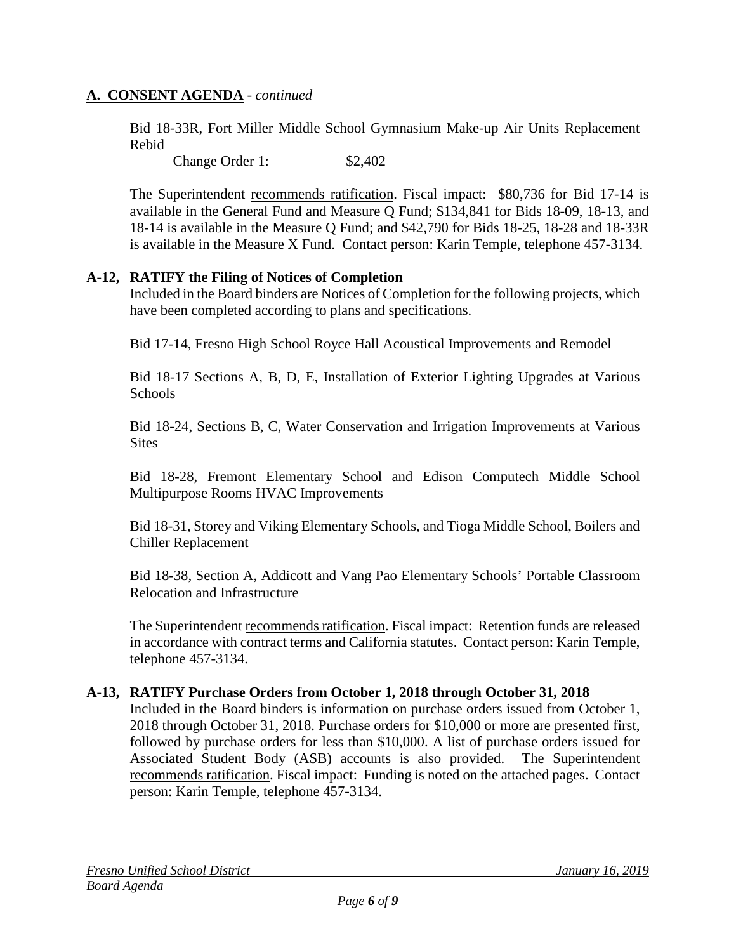Bid 18-33R, Fort Miller Middle School Gymnasium Make-up Air Units Replacement Rebid

Change Order 1: \$2,402

The Superintendent recommends ratification. Fiscal impact: \$80,736 for Bid 17-14 is available in the General Fund and Measure Q Fund; \$134,841 for Bids 18-09, 18-13, and 18-14 is available in the Measure Q Fund; and \$42,790 for Bids 18-25, 18-28 and 18-33R is available in the Measure X Fund. Contact person: Karin Temple, telephone 457-3134.

#### **A-12, RATIFY the Filing of Notices of Completion**

Included in the Board binders are Notices of Completion for the following projects, which have been completed according to plans and specifications.

Bid 17-14, Fresno High School Royce Hall Acoustical Improvements and Remodel

Bid 18-17 Sections A, B, D, E, Installation of Exterior Lighting Upgrades at Various Schools

Bid 18-24, Sections B, C, Water Conservation and Irrigation Improvements at Various **Sites** 

Bid 18-28, Fremont Elementary School and Edison Computech Middle School Multipurpose Rooms HVAC Improvements

Bid 18-31, Storey and Viking Elementary Schools, and Tioga Middle School, Boilers and Chiller Replacement

Bid 18-38, Section A, Addicott and Vang Pao Elementary Schools' Portable Classroom Relocation and Infrastructure

The Superintendent recommends ratification. Fiscal impact: Retention funds are released in accordance with contract terms and California statutes. Contact person: Karin Temple, telephone 457-3134.

#### **A-13, RATIFY Purchase Orders from October 1, 2018 through October 31, 2018**

Included in the Board binders is information on purchase orders issued from October 1, 2018 through October 31, 2018. Purchase orders for \$10,000 or more are presented first, followed by purchase orders for less than \$10,000. A list of purchase orders issued for Associated Student Body (ASB) accounts is also provided. The Superintendent recommends ratification. Fiscal impact: Funding is noted on the attached pages. Contact person: Karin Temple, telephone 457-3134.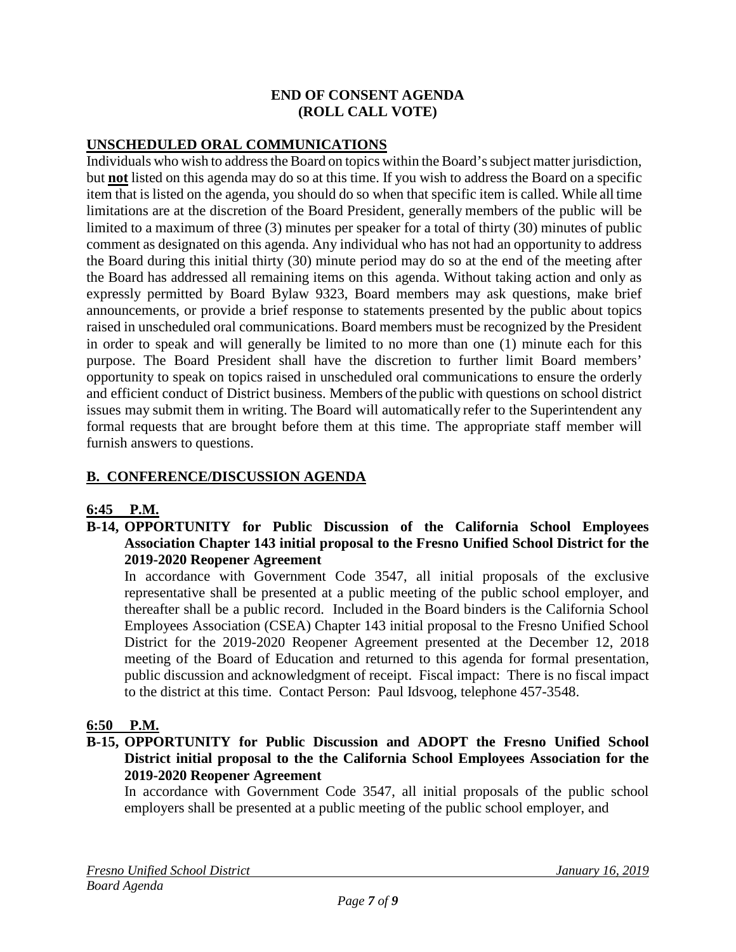#### **END OF CONSENT AGENDA (ROLL CALL VOTE)**

#### **UNSCHEDULED ORAL COMMUNICATIONS**

Individuals who wish to address the Board on topics within the Board's subject matter jurisdiction, but **not** listed on this agenda may do so at this time. If you wish to address the Board on a specific item that is listed on the agenda, you should do so when that specific item is called. While all time limitations are at the discretion of the Board President, generally members of the public will be limited to a maximum of three (3) minutes per speaker for a total of thirty (30) minutes of public comment as designated on this agenda. Any individual who has not had an opportunity to address the Board during this initial thirty (30) minute period may do so at the end of the meeting after the Board has addressed all remaining items on this agenda. Without taking action and only as expressly permitted by Board Bylaw 9323, Board members may ask questions, make brief announcements, or provide a brief response to statements presented by the public about topics raised in unscheduled oral communications. Board members must be recognized by the President in order to speak and will generally be limited to no more than one (1) minute each for this purpose. The Board President shall have the discretion to further limit Board members' opportunity to speak on topics raised in unscheduled oral communications to ensure the orderly and efficient conduct of District business. Members of the public with questions on school district issues may submit them in writing. The Board will automatically refer to the Superintendent any formal requests that are brought before them at this time. The appropriate staff member will furnish answers to questions.

### **B. CONFERENCE/DISCUSSION AGENDA**

#### **6:45 P.M.**

**B-14, OPPORTUNITY for Public Discussion of the California School Employees Association Chapter 143 initial proposal to the Fresno Unified School District for the 2019-2020 Reopener Agreement**

In accordance with Government Code 3547, all initial proposals of the exclusive representative shall be presented at a public meeting of the public school employer, and thereafter shall be a public record. Included in the Board binders is the California School Employees Association (CSEA) Chapter 143 initial proposal to the Fresno Unified School District for the 2019-2020 Reopener Agreement presented at the December 12, 2018 meeting of the Board of Education and returned to this agenda for formal presentation, public discussion and acknowledgment of receipt. Fiscal impact: There is no fiscal impact to the district at this time. Contact Person: Paul Idsvoog, telephone 457-3548.

#### **6:50 P.M.**

**B-15, OPPORTUNITY for Public Discussion and ADOPT the Fresno Unified School District initial proposal to the the California School Employees Association for the 2019-2020 Reopener Agreement**

In accordance with Government Code 3547, all initial proposals of the public school employers shall be presented at a public meeting of the public school employer, and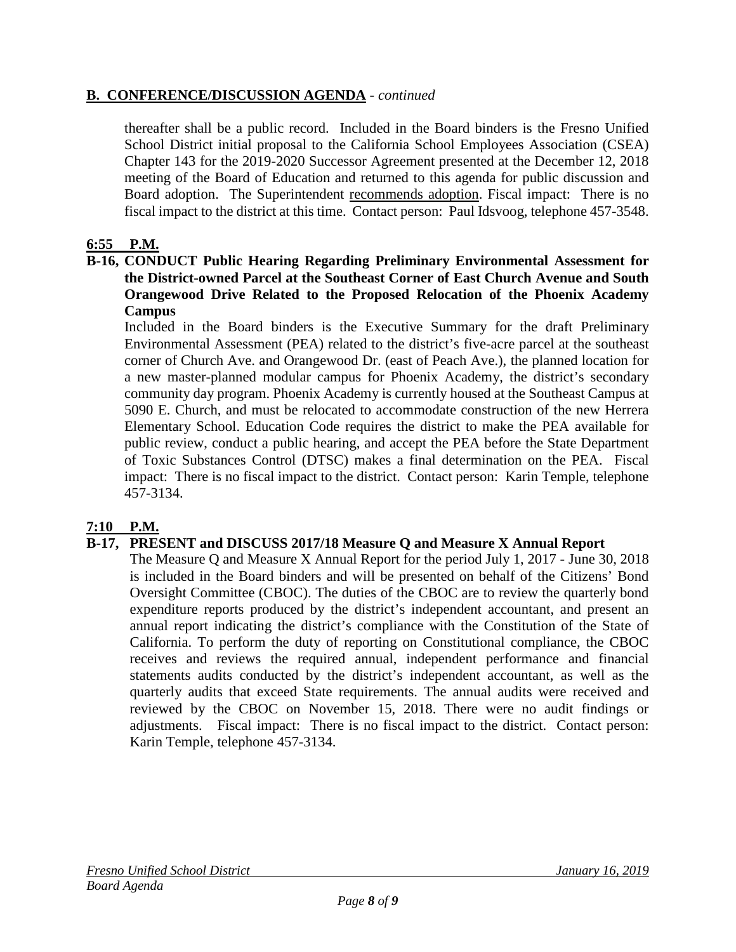### **B. CONFERENCE/DISCUSSION AGENDA** - *continued*

thereafter shall be a public record. Included in the Board binders is the Fresno Unified School District initial proposal to the California School Employees Association (CSEA) Chapter 143 for the 2019-2020 Successor Agreement presented at the December 12, 2018 meeting of the Board of Education and returned to this agenda for public discussion and Board adoption. The Superintendent recommends adoption. Fiscal impact: There is no fiscal impact to the district at this time. Contact person: Paul Idsvoog, telephone 457-3548.

### **6:55 P.M.**

#### **B-16, CONDUCT Public Hearing Regarding Preliminary Environmental Assessment for the District-owned Parcel at the Southeast Corner of East Church Avenue and South Orangewood Drive Related to the Proposed Relocation of the Phoenix Academy Campus**

Included in the Board binders is the Executive Summary for the draft Preliminary Environmental Assessment (PEA) related to the district's five-acre parcel at the southeast corner of Church Ave. and Orangewood Dr. (east of Peach Ave.), the planned location for a new master-planned modular campus for Phoenix Academy, the district's secondary community day program. Phoenix Academy is currently housed at the Southeast Campus at 5090 E. Church, and must be relocated to accommodate construction of the new Herrera Elementary School. Education Code requires the district to make the PEA available for public review, conduct a public hearing, and accept the PEA before the State Department of Toxic Substances Control (DTSC) makes a final determination on the PEA. Fiscal impact: There is no fiscal impact to the district. Contact person: Karin Temple, telephone 457-3134.

### **7:10 P.M.**

#### **B-17, PRESENT and DISCUSS 2017/18 Measure Q and Measure X Annual Report**

The Measure Q and Measure X Annual Report for the period July 1, 2017 - June 30, 2018 is included in the Board binders and will be presented on behalf of the Citizens' Bond Oversight Committee (CBOC). The duties of the CBOC are to review the quarterly bond expenditure reports produced by the district's independent accountant, and present an annual report indicating the district's compliance with the Constitution of the State of California. To perform the duty of reporting on Constitutional compliance, the CBOC receives and reviews the required annual, independent performance and financial statements audits conducted by the district's independent accountant, as well as the quarterly audits that exceed State requirements. The annual audits were received and reviewed by the CBOC on November 15, 2018. There were no audit findings or adjustments. Fiscal impact: There is no fiscal impact to the district. Contact person: Karin Temple, telephone 457-3134.